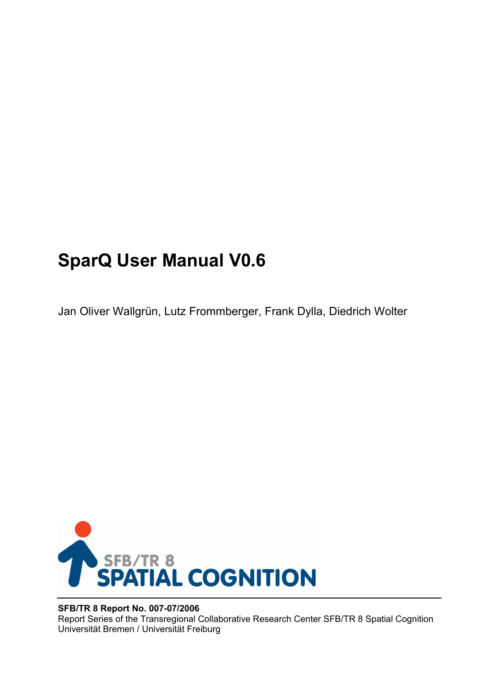# **SparQ User Manual V0.6**

Jan Oliver Wallgrün, Lutz Frommberger, Frank Dylla, Diedrich Wolter



## SFB/TR 8 Report No. 007-07/2006

Report Series of the Transregional Collaborative Research Center SFB/TR 8 Spatial Cognition Universität Bremen / Universität Freiburg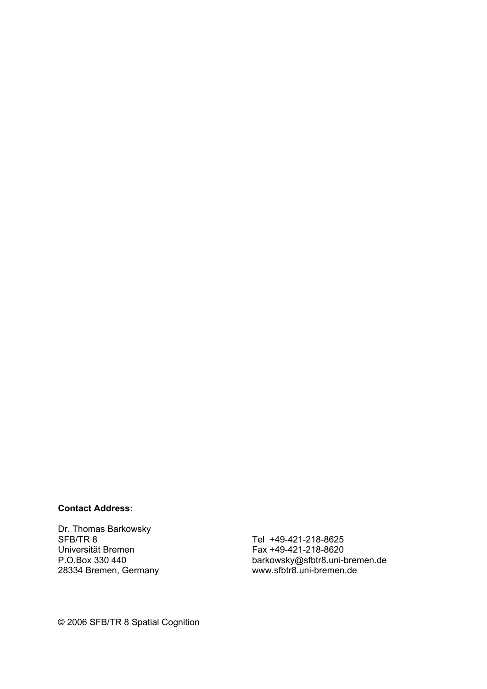### **Contact Address:**

Dr. Thomas Barkowsky SFB/TR 8 Universität Bremen P.O.Box 330 440 28334 Bremen, Germany

Tel +49-421-218-8625 Fax +49-421-218-8620 barkowsky@sfbtr8.uni-bremen.de www.sfbtr8.uni-bremen.de

© 2006 SFB/TR 8 Spatial Cognition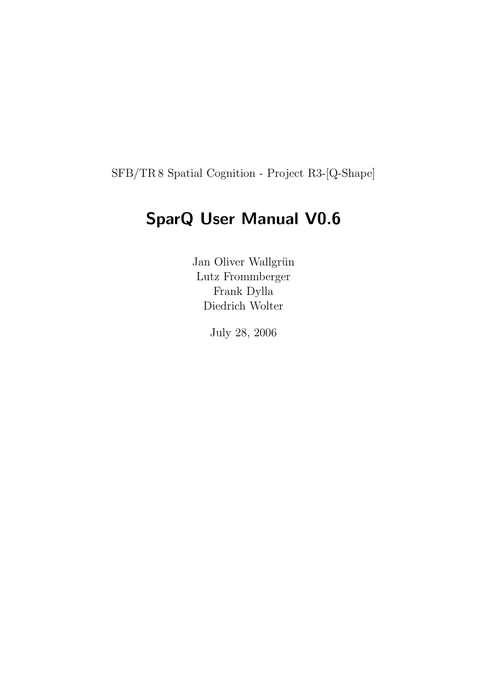SFB/TR 8 Spatial Cognition - Project R3-[Q-Shape]

# SparQ User Manual V0.6

Jan Oliver Wallgrün Lutz Frommberger Frank Dylla Diedrich Wolter

July 28, 2006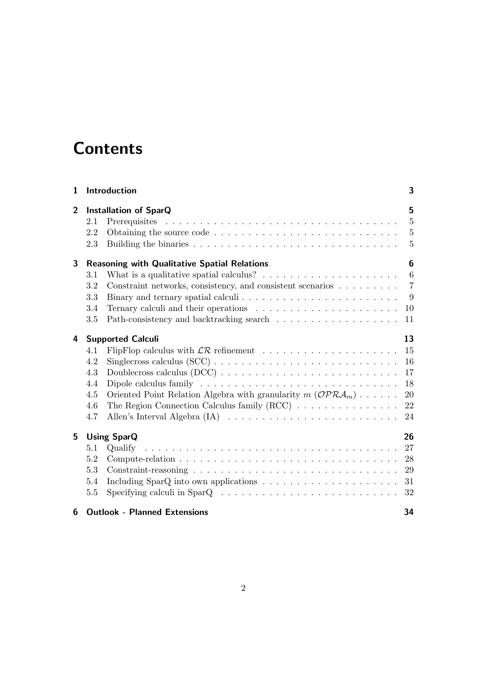# **Contents**

| 1              |     | Introduction                                                                                            | 3               |  |  |  |  |  |
|----------------|-----|---------------------------------------------------------------------------------------------------------|-----------------|--|--|--|--|--|
| $\overline{2}$ |     | <b>Installation of SparQ</b>                                                                            |                 |  |  |  |  |  |
|                | 2.1 | Prerequisites                                                                                           | $5\phantom{.0}$ |  |  |  |  |  |
|                | 2.2 | Obtaining the source code                                                                               | $\overline{5}$  |  |  |  |  |  |
|                | 2.3 |                                                                                                         | $5\phantom{.0}$ |  |  |  |  |  |
| 3              |     | <b>Reasoning with Qualitative Spatial Relations</b>                                                     |                 |  |  |  |  |  |
|                | 3.1 | What is a qualitative spatial calculus? $\ldots$ , $\ldots$ , $\ldots$ , $\ldots$ , $\ldots$ , $\ldots$ | 6               |  |  |  |  |  |
|                | 3.2 | Constraint networks, consistency, and consistent scenarios                                              | $\overline{7}$  |  |  |  |  |  |
|                | 3.3 |                                                                                                         | 9               |  |  |  |  |  |
|                | 3.4 |                                                                                                         | 10              |  |  |  |  |  |
|                | 3.5 |                                                                                                         | 11              |  |  |  |  |  |
| 4              |     | <b>Supported Calculi</b>                                                                                | 13              |  |  |  |  |  |
|                | 4.1 |                                                                                                         | 15              |  |  |  |  |  |
|                | 4.2 |                                                                                                         | 16              |  |  |  |  |  |
|                | 4.3 |                                                                                                         | 17              |  |  |  |  |  |
|                | 4.4 | Dipole calculus family $\dots \dots \dots \dots \dots \dots \dots \dots \dots \dots \dots \dots$        | 18              |  |  |  |  |  |
|                | 4.5 | Oriented Point Relation Algebra with granularity $m(\mathcal{OPRA}_{m}) \dots \dots$                    | 20              |  |  |  |  |  |
|                | 4.6 | The Region Connection Calculus family $(RCC)$                                                           | 22              |  |  |  |  |  |
|                | 4.7 |                                                                                                         | 24              |  |  |  |  |  |
| 5              |     | <b>Using SparQ</b>                                                                                      | 26              |  |  |  |  |  |
|                | 5.1 |                                                                                                         | 27              |  |  |  |  |  |
|                | 5.2 |                                                                                                         | 28              |  |  |  |  |  |
|                | 5.3 |                                                                                                         | 29              |  |  |  |  |  |
|                | 5.4 | Including SparQ into own applications $\dots \dots \dots \dots \dots \dots \dots$                       | 31              |  |  |  |  |  |
|                | 5.5 | Specifying calculi in $SpanQ \dots \dots \dots \dots \dots \dots \dots \dots \dots$                     | 32              |  |  |  |  |  |
| 6              |     | <b>Outlook - Planned Extensions</b>                                                                     | 34              |  |  |  |  |  |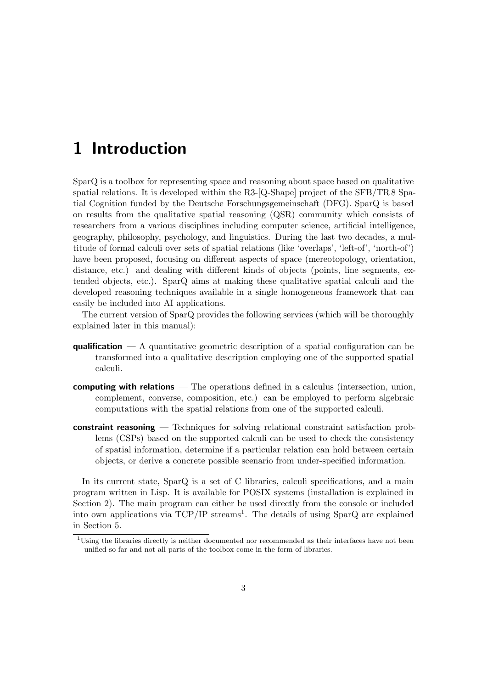## 1 Introduction

SparQ is a toolbox for representing space and reasoning about space based on qualitative spatial relations. It is developed within the R3-[Q-Shape] project of the SFB/TR 8 Spatial Cognition funded by the Deutsche Forschungsgemeinschaft (DFG). SparQ is based on results from the qualitative spatial reasoning (QSR) community which consists of researchers from a various disciplines including computer science, artificial intelligence, geography, philosophy, psychology, and linguistics. During the last two decades, a multitude of formal calculi over sets of spatial relations (like 'overlaps', 'left-of', 'north-of') have been proposed, focusing on different aspects of space (mereotopology, orientation, distance, etc.) and dealing with different kinds of objects (points, line segments, extended objects, etc.). SparQ aims at making these qualitative spatial calculi and the developed reasoning techniques available in a single homogeneous framework that can easily be included into AI applications.

The current version of SparQ provides the following services (which will be thoroughly explained later in this manual):

- **qualification** A quantitative geometric description of a spatial configuration can be transformed into a qualitative description employing one of the supported spatial calculi.
- computing with relations The operations defined in a calculus (intersection, union, complement, converse, composition, etc.) can be employed to perform algebraic computations with the spatial relations from one of the supported calculi.
- constraint reasoning Techniques for solving relational constraint satisfaction problems (CSPs) based on the supported calculi can be used to check the consistency of spatial information, determine if a particular relation can hold between certain objects, or derive a concrete possible scenario from under-specified information.

In its current state, SparQ is a set of C libraries, calculi specifications, and a main program written in Lisp. It is available for POSIX systems (installation is explained in Section 2). The main program can either be used directly from the console or included into own applications via TCP/IP streams<sup>1</sup>. The details of using SparQ are explained in Section 5.

<sup>&</sup>lt;sup>1</sup>Using the libraries directly is neither documented nor recommended as their interfaces have not been unified so far and not all parts of the toolbox come in the form of libraries.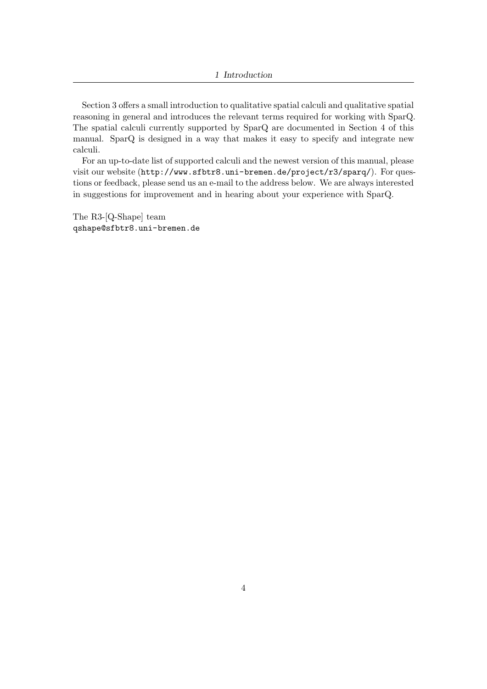Section 3 offers a small introduction to qualitative spatial calculi and qualitative spatial reasoning in general and introduces the relevant terms required for working with SparQ. The spatial calculi currently supported by SparQ are documented in Section 4 of this manual. SparQ is designed in a way that makes it easy to specify and integrate new calculi.

For an up-to-date list of supported calculi and the newest version of this manual, please visit our website (http://www.sfbtr8.uni-bremen.de/project/r3/sparq/). For questions or feedback, please send us an e-mail to the address below. We are always interested in suggestions for improvement and in hearing about your experience with SparQ.

The R3-[Q-Shape] team qshape@sfbtr8.uni-bremen.de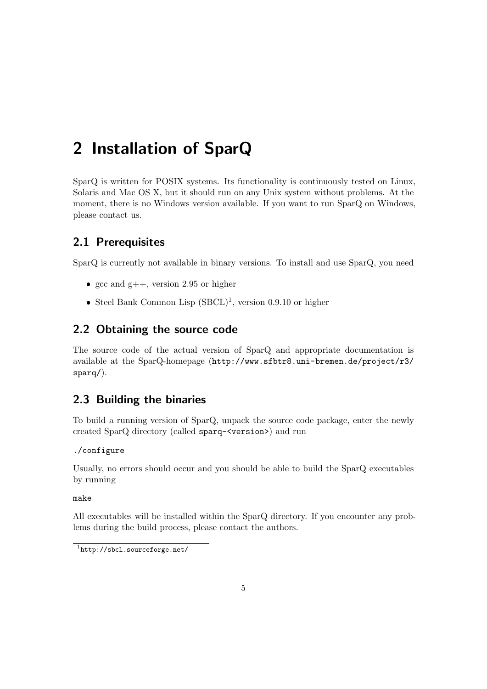# 2 Installation of SparQ

SparQ is written for POSIX systems. Its functionality is continuously tested on Linux, Solaris and Mac OS X, but it should run on any Unix system without problems. At the moment, there is no Windows version available. If you want to run SparQ on Windows, please contact us.

## 2.1 Prerequisites

SparQ is currently not available in binary versions. To install and use SparQ, you need

- gcc and  $g++$ , version 2.95 or higher
- Steel Bank Common Lisp  $(SBCL)^1$ , version 0.9.10 or higher

## 2.2 Obtaining the source code

The source code of the actual version of SparQ and appropriate documentation is available at the SparQ-homepage (http://www.sfbtr8.uni-bremen.de/project/r3/ sparq/).

## 2.3 Building the binaries

To build a running version of SparQ, unpack the source code package, enter the newly created SparQ directory (called sparq-<version>) and run

./configure

Usually, no errors should occur and you should be able to build the SparQ executables by running

make

All executables will be installed within the SparQ directory. If you encounter any problems during the build process, please contact the authors.

<sup>1</sup> http://sbcl.sourceforge.net/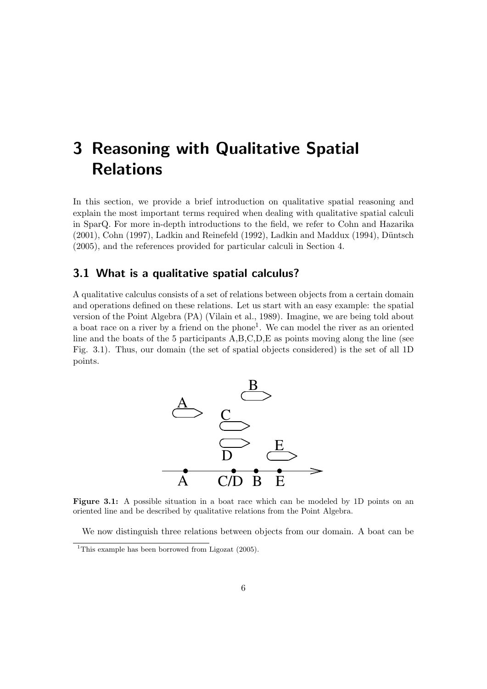# 3 Reasoning with Qualitative Spatial Relations

In this section, we provide a brief introduction on qualitative spatial reasoning and explain the most important terms required when dealing with qualitative spatial calculi in SparQ. For more in-depth introductions to the field, we refer to Cohn and Hazarika  $(2001)$ , Cohn  $(1997)$ , Ladkin and Reinefeld  $(1992)$ , Ladkin and Maddux  $(1994)$ , Düntsch (2005), and the references provided for particular calculi in Section 4.

## 3.1 What is a qualitative spatial calculus?

A qualitative calculus consists of a set of relations between objects from a certain domain and operations defined on these relations. Let us start with an easy example: the spatial version of the Point Algebra (PA) (Vilain et al., 1989). Imagine, we are being told about a boat race on a river by a friend on the phone<sup>1</sup>. We can model the river as an oriented line and the boats of the 5 participants A,B,C,D,E as points moving along the line (see Fig. 3.1). Thus, our domain (the set of spatial objects considered) is the set of all 1D points.



Figure 3.1: A possible situation in a boat race which can be modeled by 1D points on an oriented line and be described by qualitative relations from the Point Algebra.

We now distinguish three relations between objects from our domain. A boat can be

<sup>&</sup>lt;sup>1</sup>This example has been borrowed from Ligozat (2005).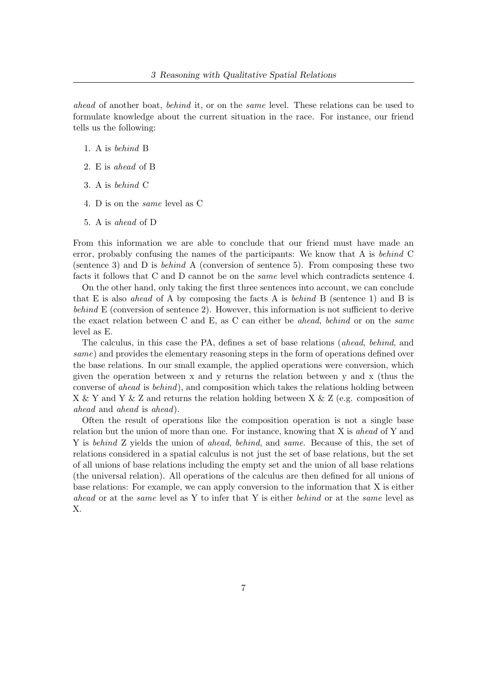ahead of another boat, behind it, or on the same level. These relations can be used to formulate knowledge about the current situation in the race. For instance, our friend tells us the following:

- 1. A is behind B
- 2. E is ahead of B
- 3. A is behind C
- 4. D is on the same level as C
- 5. A is ahead of D

From this information we are able to conclude that our friend must have made an error, probably confusing the names of the participants: We know that A is behind C (sentence 3) and D is behind A (conversion of sentence 5). From composing these two facts it follows that C and D cannot be on the same level which contradicts sentence 4.

On the other hand, only taking the first three sentences into account, we can conclude that E is also *ahead* of A by composing the facts A is *behind* B (sentence 1) and B is behind  $E$  (conversion of sentence 2). However, this information is not sufficient to derive the exact relation between C and E, as C can either be *ahead*, *behind* or on the *same* level as E.

The calculus, in this case the PA, defines a set of base relations (ahead, behind, and same) and provides the elementary reasoning steps in the form of operations defined over the base relations. In our small example, the applied operations were conversion, which given the operation between x and y returns the relation between y and x (thus the converse of ahead is behind), and composition which takes the relations holding between X & Y and Y & Z and returns the relation holding between X & Z (e.g. composition of ahead and ahead is ahead).

Often the result of operations like the composition operation is not a single base relation but the union of more than one. For instance, knowing that X is ahead of Y and Y is *behind* Z yields the union of *ahead*, *behind*, and *same*. Because of this, the set of relations considered in a spatial calculus is not just the set of base relations, but the set of all unions of base relations including the empty set and the union of all base relations (the universal relation). All operations of the calculus are then defined for all unions of base relations: For example, we can apply conversion to the information that X is either ahead or at the same level as Y to infer that Y is either behind or at the same level as X.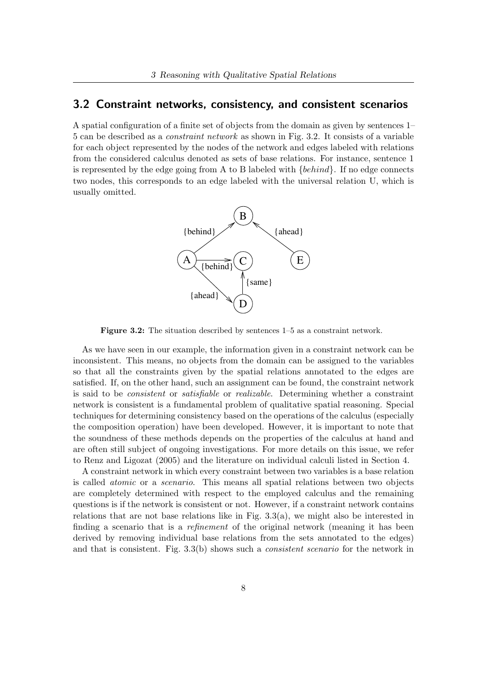## 3.2 Constraint networks, consistency, and consistent scenarios

A spatial configuration of a finite set of objects from the domain as given by sentences 1– 5 can be described as a constraint network as shown in Fig. 3.2. It consists of a variable for each object represented by the nodes of the network and edges labeled with relations from the considered calculus denoted as sets of base relations. For instance, sentence 1 is represented by the edge going from A to B labeled with  $\{behind\}$ . If no edge connects two nodes, this corresponds to an edge labeled with the universal relation U, which is usually omitted.



Figure 3.2: The situation described by sentences 1–5 as a constraint network.

As we have seen in our example, the information given in a constraint network can be inconsistent. This means, no objects from the domain can be assigned to the variables so that all the constraints given by the spatial relations annotated to the edges are satisfied. If, on the other hand, such an assignment can be found, the constraint network is said to be consistent or satisfiable or realizable. Determining whether a constraint network is consistent is a fundamental problem of qualitative spatial reasoning. Special techniques for determining consistency based on the operations of the calculus (especially the composition operation) have been developed. However, it is important to note that the soundness of these methods depends on the properties of the calculus at hand and are often still subject of ongoing investigations. For more details on this issue, we refer to Renz and Ligozat (2005) and the literature on individual calculi listed in Section 4.

A constraint network in which every constraint between two variables is a base relation is called atomic or a scenario. This means all spatial relations between two objects are completely determined with respect to the employed calculus and the remaining questions is if the network is consistent or not. However, if a constraint network contains relations that are not base relations like in Fig.  $3.3(a)$ , we might also be interested in finding a scenario that is a *refinement* of the original network (meaning it has been derived by removing individual base relations from the sets annotated to the edges) and that is consistent. Fig.  $3.3(b)$  shows such a *consistent scenario* for the network in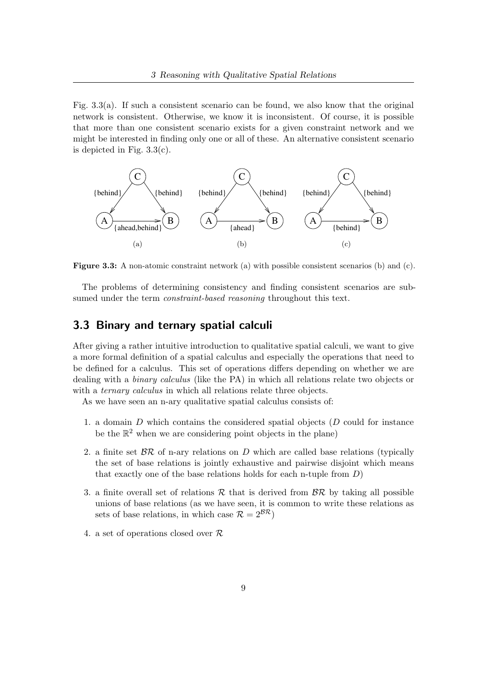Fig. 3.3(a). If such a consistent scenario can be found, we also know that the original network is consistent. Otherwise, we know it is inconsistent. Of course, it is possible that more than one consistent scenario exists for a given constraint network and we might be interested in finding only one or all of these. An alternative consistent scenario is depicted in Fig.  $3.3(c)$ .



Figure 3.3: A non-atomic constraint network (a) with possible consistent scenarios (b) and (c).

The problems of determining consistency and finding consistent scenarios are subsumed under the term *constraint-based reasoning* throughout this text.

## 3.3 Binary and ternary spatial calculi

After giving a rather intuitive introduction to qualitative spatial calculi, we want to give a more formal definition of a spatial calculus and especially the operations that need to be defined for a calculus. This set of operations differs depending on whether we are dealing with a binary calculus (like the PA) in which all relations relate two objects or with a *ternary calculus* in which all relations relate three objects.

As we have seen an n-ary qualitative spatial calculus consists of:

- 1. a domain  $D$  which contains the considered spatial objects  $(D \text{ could for instance})$ be the  $\mathbb{R}^2$  when we are considering point objects in the plane)
- 2. a finite set  $\mathcal{BR}$  of n-ary relations on D which are called base relations (typically the set of base relations is jointly exhaustive and pairwise disjoint which means that exactly one of the base relations holds for each n-tuple from  $D$ )
- 3. a finite overall set of relations R that is derived from  $\beta \mathcal{R}$  by taking all possible unions of base relations (as we have seen, it is common to write these relations as sets of base relations, in which case  $\mathcal{R} = 2^{\mathcal{BR}}$ )
- 4. a set of operations closed over R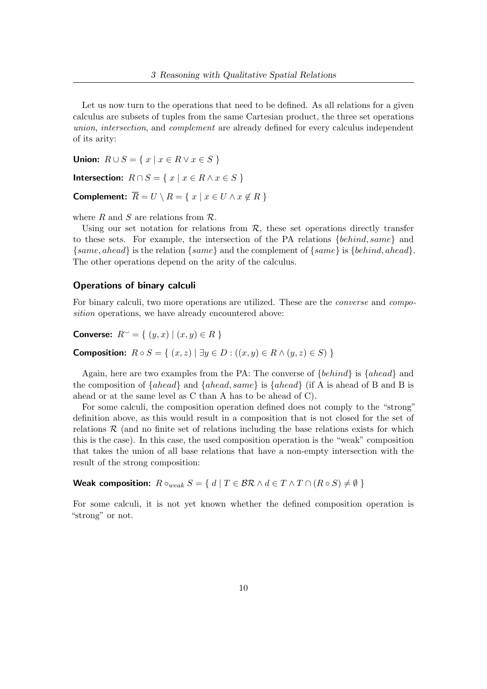Let us now turn to the operations that need to be defined. As all relations for a given calculus are subsets of tuples from the same Cartesian product, the three set operations union, intersection, and complement are already defined for every calculus independent of its arity:

Union:  $R \cup S = \{ x \mid x \in R \lor x \in S \}$ 

Intersection:  $R \cap S = \{ x \mid x \in R \land x \in S \}$ 

**Complement:**  $\overline{R} = U \setminus R = \{ x \mid x \in U \land x \notin R \}$ 

where  $R$  and  $S$  are relations from  $R$ .

Using our set notation for relations from  $R$ , these set operations directly transfer to these sets. For example, the intersection of the PA relations {behind, same} and  ${same, ahead}$  is the relation  ${same}$  and the complement of  ${same}$  is  ${behind, ahead}$ . The other operations depend on the arity of the calculus.

#### Operations of binary calculi

For binary calculi, two more operations are utilized. These are the *converse* and *compo*sition operations, we have already encountered above:

**Converse:**  $R^{\sim} = \{ (y, x) | (x, y) \in R \}$ 

**Composition:**  $R \circ S = \{ (x, z) | \exists y \in D : ((x, y) \in R \land (y, z) \in S) \}$ 

Again, here are two examples from the PA: The converse of  $\{behind\}$  is  $\{shead\}$  and the composition of  $\{ ahead\}$  and  $\{ ahead, same\}$  is  $\{ ahead\}$  (if A is ahead of B and B is ahead or at the same level as C than A has to be ahead of C).

For some calculi, the composition operation defined does not comply to the "strong" definition above, as this would result in a composition that is not closed for the set of relations  $\mathcal R$  (and no finite set of relations including the base relations exists for which this is the case). In this case, the used composition operation is the "weak" composition that takes the union of all base relations that have a non-empty intersection with the result of the strong composition:

Weak composition:  $R \circ_{weak} S = \{ d | T \in BR \wedge d \in T \wedge T \cap (R \circ S) \neq \emptyset \}$ 

For some calculi, it is not yet known whether the defined composition operation is "strong" or not.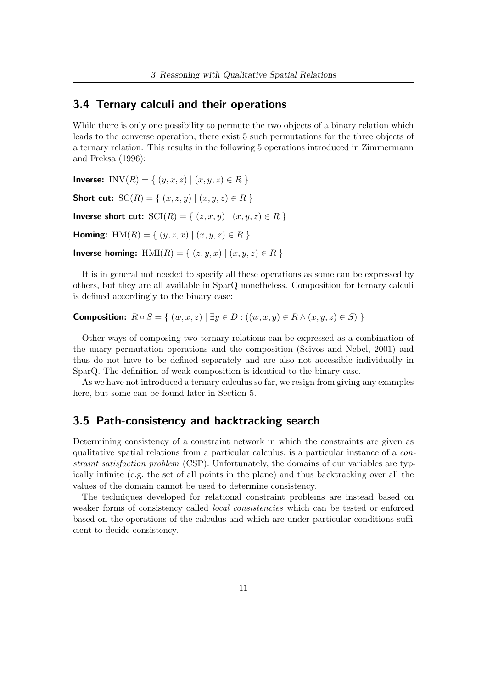## 3.4 Ternary calculi and their operations

While there is only one possibility to permute the two objects of a binary relation which leads to the converse operation, there exist 5 such permutations for the three objects of a ternary relation. This results in the following 5 operations introduced in Zimmermann and Freksa (1996):

**Inverse:** INV $(R) = \{ (y, x, z) | (x, y, z) \in R \}$ 

**Short cut:**  $SC(R) = \{ (x, z, y) | (x, y, z) \in R \}$ 

**Inverse short cut:**  $\text{SCI}(R) = \{ (z, x, y) | (x, y, z) \in R \}$ 

**Homing:** HM(R) = {  $(y, z, x) | (x, y, z) \in R$  }

**Inverse homing:**  $HMI(R) = \{ (z, y, x) | (x, y, z) \in R \}$ 

It is in general not needed to specify all these operations as some can be expressed by others, but they are all available in SparQ nonetheless. Composition for ternary calculi is defined accordingly to the binary case:

#### **Composition:**  $R \circ S = \{ (w, x, z) | \exists y \in D : ((w, x, y) \in R \land (x, y, z) \in S) \}$

Other ways of composing two ternary relations can be expressed as a combination of the unary permutation operations and the composition (Scivos and Nebel, 2001) and thus do not have to be defined separately and are also not accessible individually in SparQ. The definition of weak composition is identical to the binary case.

As we have not introduced a ternary calculus so far, we resign from giving any examples here, but some can be found later in Section 5.

### 3.5 Path-consistency and backtracking search

Determining consistency of a constraint network in which the constraints are given as qualitative spatial relations from a particular calculus, is a particular instance of a constraint satisfaction problem (CSP). Unfortunately, the domains of our variables are typically infinite (e.g. the set of all points in the plane) and thus backtracking over all the values of the domain cannot be used to determine consistency.

The techniques developed for relational constraint problems are instead based on weaker forms of consistency called local consistencies which can be tested or enforced based on the operations of the calculus and which are under particular conditions sufficient to decide consistency.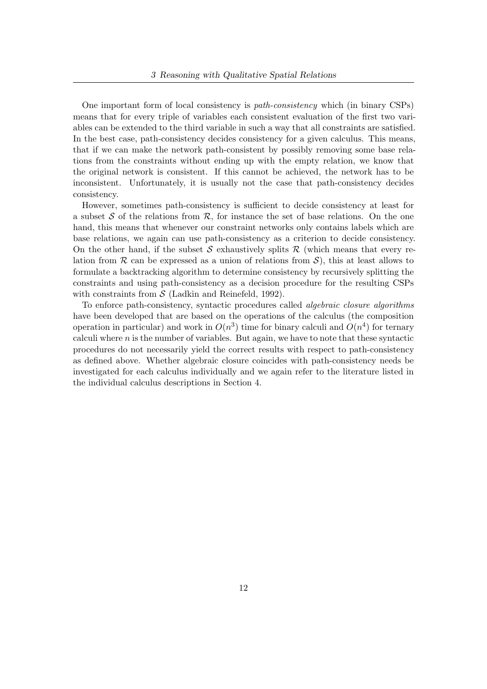One important form of local consistency is path-consistency which (in binary CSPs) means that for every triple of variables each consistent evaluation of the first two variables can be extended to the third variable in such a way that all constraints are satisfied. In the best case, path-consistency decides consistency for a given calculus. This means, that if we can make the network path-consistent by possibly removing some base relations from the constraints without ending up with the empty relation, we know that the original network is consistent. If this cannot be achieved, the network has to be inconsistent. Unfortunately, it is usually not the case that path-consistency decides consistency.

However, sometimes path-consistency is sufficient to decide consistency at least for a subset S of the relations from R, for instance the set of base relations. On the one hand, this means that whenever our constraint networks only contains labels which are base relations, we again can use path-consistency as a criterion to decide consistency. On the other hand, if the subset S exhaustively splits  $\mathcal R$  (which means that every relation from  $\mathcal R$  can be expressed as a union of relations from  $\mathcal S$ ), this at least allows to formulate a backtracking algorithm to determine consistency by recursively splitting the constraints and using path-consistency as a decision procedure for the resulting CSPs with constraints from  $S$  (Ladkin and Reinefeld, 1992).

To enforce path-consistency, syntactic procedures called algebraic closure algorithms have been developed that are based on the operations of the calculus (the composition operation in particular) and work in  $O(n^3)$  time for binary calculi and  $O(n^4)$  for ternary calculi where  $n$  is the number of variables. But again, we have to note that these syntactic procedures do not necessarily yield the correct results with respect to path-consistency as defined above. Whether algebraic closure coincides with path-consistency needs be investigated for each calculus individually and we again refer to the literature listed in the individual calculus descriptions in Section 4.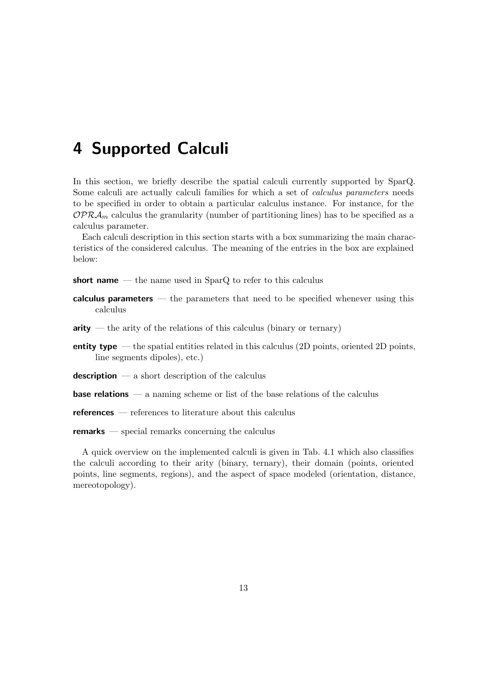## 4 Supported Calculi

In this section, we briefly describe the spatial calculi currently supported by SparQ. Some calculi are actually calculi families for which a set of calculus parameters needs to be specified in order to obtain a particular calculus instance. For instance, for the  $OPRA<sub>m</sub>$  calculus the granularity (number of partitioning lines) has to be specified as a calculus parameter.

Each calculi description in this section starts with a box summarizing the main characteristics of the considered calculus. The meaning of the entries in the box are explained below:

short name — the name used in  $SparQ$  to refer to this calculus

- calculus parameters  $-$  the parameters that need to be specified whenever using this calculus
- $\text{arity}$  the arity of the relations of this calculus (binary or ternary)
- entity type  $-$  the spatial entities related in this calculus (2D points, oriented 2D points, line segments dipoles), etc.)
- **description** a short description of the calculus
- **base relations** a naming scheme or list of the base relations of the calculus
- references references to literature about this calculus
- **remarks** special remarks concerning the calculus

A quick overview on the implemented calculi is given in Tab. 4.1 which also classifies the calculi according to their arity (binary, ternary), their domain (points, oriented points, line segments, regions), and the aspect of space modeled (orientation, distance, mereotopology).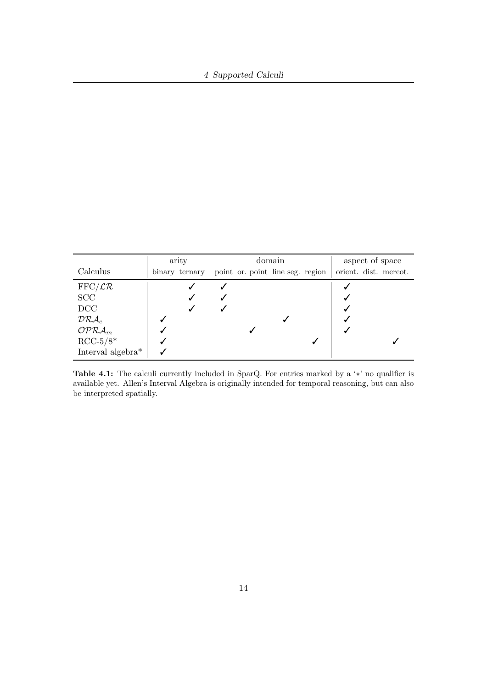|                             | arity          |  | domain                          |  | aspect of space       |
|-----------------------------|----------------|--|---------------------------------|--|-----------------------|
| Calculus                    | binary ternary |  | point or point line seg. region |  | orient. dist. mereot. |
| $\text{FFC}/\mathcal{LR}$   |                |  |                                 |  |                       |
| <b>SCC</b>                  |                |  |                                 |  |                       |
| DCC                         |                |  |                                 |  |                       |
| $\mathcal{DRA}_c$           |                |  |                                 |  |                       |
| $\mathcal{OPRA}_m$          |                |  |                                 |  |                       |
| $\mathrm{RCC}\text{-}5/8^*$ |                |  |                                 |  |                       |
| Interval algebra*           |                |  |                                 |  |                       |

Table 4.1: The calculi currently included in SparQ. For entries marked by a '∗' no qualifier is available yet. Allen's Interval Algebra is originally intended for temporal reasoning, but can also be interpreted spatially.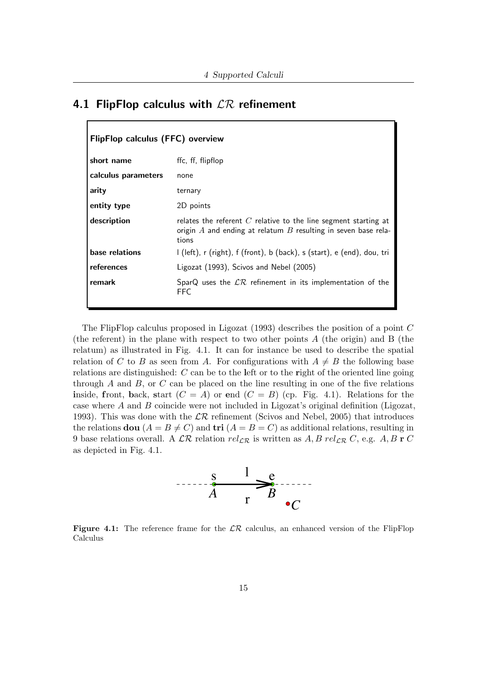| FlipFlop calculus (FFC) overview |                                                                                                                                                |  |  |  |
|----------------------------------|------------------------------------------------------------------------------------------------------------------------------------------------|--|--|--|
| short name                       | ffc, ff, flipflop                                                                                                                              |  |  |  |
| calculus parameters              | none                                                                                                                                           |  |  |  |
| arity<br>ternary                 |                                                                                                                                                |  |  |  |
| entity type                      | 2D points                                                                                                                                      |  |  |  |
| description                      | relates the referent $C$ relative to the line segment starting at<br>origin A and ending at relatum $B$ resulting in seven base rela-<br>tions |  |  |  |
| base relations                   | I (left), r (right), f (front), b (back), s (start), e (end), dou, tri                                                                         |  |  |  |
| references                       | Ligozat (1993), Scivos and Nebel (2005)                                                                                                        |  |  |  |
| remark                           | SparQ uses the $\mathcal{LR}$ refinement in its implementation of the<br>FFC.                                                                  |  |  |  |

## 4.1 FlipFlop calculus with  $\mathcal{LR}$  refinement

The FlipFlop calculus proposed in Ligozat (1993) describes the position of a point C (the referent) in the plane with respect to two other points A (the origin) and B (the relatum) as illustrated in Fig. 4.1. It can for instance be used to describe the spatial relation of C to B as seen from A. For configurations with  $A \neq B$  the following base relations are distinguished:  $C$  can be to the left or to the right of the oriented line going through  $A$  and  $B$ , or  $C$  can be placed on the line resulting in one of the five relations inside, front, back, start  $(C = A)$  or end  $(C = B)$  (cp. Fig. 4.1). Relations for the case where A and B coincide were not included in Ligozat's original definition (Ligozat, 1993). This was done with the  $\mathcal{LR}$  refinement (Scivos and Nebel, 2005) that introduces the relations  $\mathbf{d} \mathbf{o} \mathbf{u}$   $(A = B \neq C)$  and  $\mathbf{tri}$   $(A = B = C)$  as additional relations, resulting in 9 base relations overall. A  $\mathcal{LR}$  relation  $rel_{\mathcal{LR}}$  is written as  $A, B$  rel<sub> $\mathcal{LR}$ </sub> C, e.g.  $A, B$  r C as depicted in Fig. 4.1.



**Figure 4.1:** The reference frame for the  $\mathcal{LR}$  calculus, an enhanced version of the FlipFlop Calculus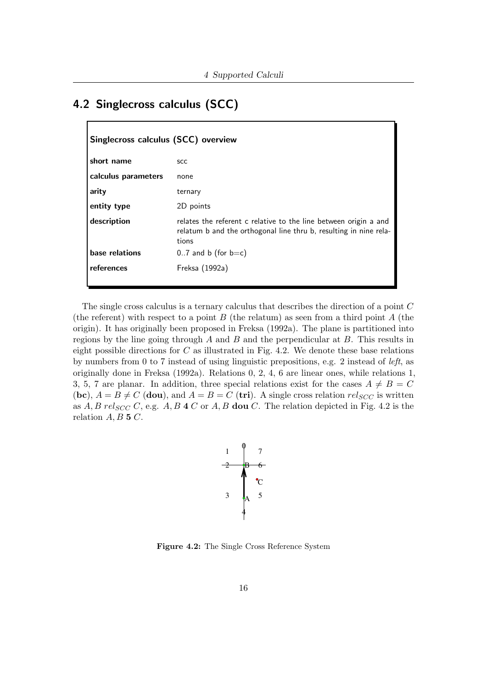## 4.2 Singlecross calculus (SCC)

| Singlecross calculus (SCC) overview |                                                                                                                                                |  |  |  |
|-------------------------------------|------------------------------------------------------------------------------------------------------------------------------------------------|--|--|--|
| short name                          | <b>SCC</b>                                                                                                                                     |  |  |  |
| calculus parameters                 | none                                                                                                                                           |  |  |  |
| arity                               | ternary                                                                                                                                        |  |  |  |
| entity type                         | 2D points                                                                                                                                      |  |  |  |
| description                         | relates the referent c relative to the line between origin a and<br>relatum b and the orthogonal line thru b, resulting in nine rela-<br>tions |  |  |  |
| base relations                      | $0.7$ and b (for $b=c$ )                                                                                                                       |  |  |  |
| references                          | Freksa (1992a)                                                                                                                                 |  |  |  |

The single cross calculus is a ternary calculus that describes the direction of a point C (the referent) with respect to a point  $B$  (the relatum) as seen from a third point  $A$  (the origin). It has originally been proposed in Freksa (1992a). The plane is partitioned into regions by the line going through  $A$  and  $B$  and the perpendicular at  $B$ . This results in eight possible directions for  $C$  as illustrated in Fig. 4.2. We denote these base relations by numbers from 0 to 7 instead of using linguistic prepositions, e.g. 2 instead of left, as originally done in Freksa (1992a). Relations 0, 2, 4, 6 are linear ones, while relations 1, 3, 5, 7 are planar. In addition, three special relations exist for the cases  $A \neq B = C$ (bc),  $A = B \neq C$  (dou), and  $A = B = C$  (tri). A single cross relation rel<sub>SCC</sub> is written as  $A, B$  rel<sub>SCC</sub> C, e.g.  $A, B$  **4** C or  $A, B$  **dou** C. The relation depicted in Fig. 4.2 is the relation  $A, B$  5  $C$ .



Figure 4.2: The Single Cross Reference System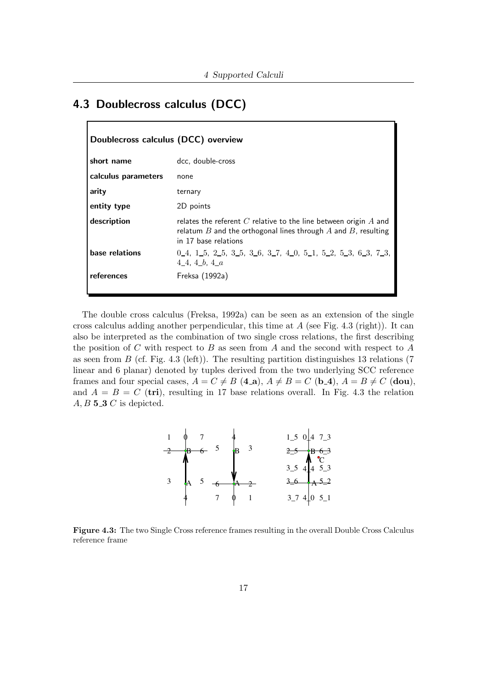## 4.3 Doublecross calculus (DCC)

| Doublecross calculus (DCC) overview |                                                                                                                                                                      |  |  |  |
|-------------------------------------|----------------------------------------------------------------------------------------------------------------------------------------------------------------------|--|--|--|
| short name                          | dcc. double-cross                                                                                                                                                    |  |  |  |
| calculus parameters                 | none                                                                                                                                                                 |  |  |  |
| arity                               | ternary                                                                                                                                                              |  |  |  |
| entity type                         | 2D points                                                                                                                                                            |  |  |  |
| description                         | relates the referent $C$ relative to the line between origin $A$ and<br>relatum $B$ and the orthogonal lines through $A$ and $B$ , resulting<br>in 17 base relations |  |  |  |
| base relations                      | $0_4$ , 1, 5, 2, 5, 3, 5, 3, 6, 3, 7, 4, 0, 5, 1, 5, 2, 5, 3, 6, 3, 7, 3,<br>4_4, 4_b, $4\_a$                                                                        |  |  |  |
| references                          | Freksa (1992a)                                                                                                                                                       |  |  |  |

The double cross calculus (Freksa, 1992a) can be seen as an extension of the single cross calculus adding another perpendicular, this time at  $A$  (see Fig. 4.3 (right)). It can also be interpreted as the combination of two single cross relations, the first describing the position of  $C$  with respect to  $B$  as seen from  $A$  and the second with respect to  $A$ as seen from  $B$  (cf. Fig. 4.3 (left)). The resulting partition distinguishes 13 relations (7) linear and 6 planar) denoted by tuples derived from the two underlying SCC reference frames and four special cases,  $A = C \neq B$  (4.a),  $A \neq B = C$  (b.4),  $A = B \neq C$  (dou), and  $A = B = C$  (tri), resulting in 17 base relations overall. In Fig. 4.3 the relation  $A, B$  5.3  $C$  is depicted.



Figure 4.3: The two Single Cross reference frames resulting in the overall Double Cross Calculus reference frame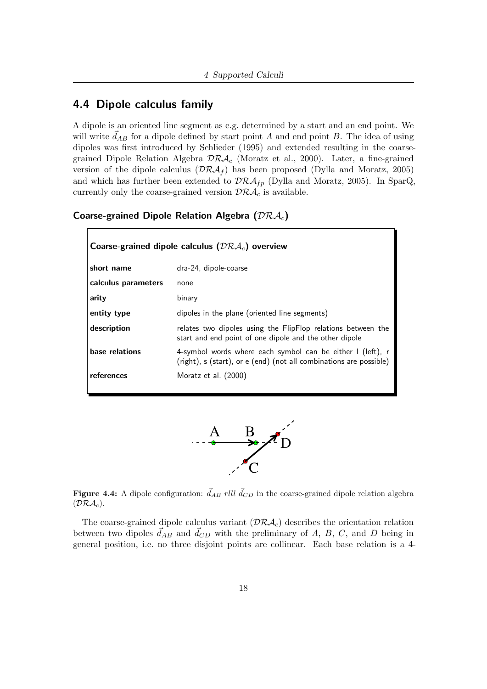## 4.4 Dipole calculus family

A dipole is an oriented line segment as e.g. determined by a start and an end point. We will write  $\vec{d}_{AB}$  for a dipole defined by start point A and end point B. The idea of using dipoles was first introduced by Schlieder (1995) and extended resulting in the coarsegrained Dipole Relation Algebra  $\mathcal{DRA}_c$  (Moratz et al., 2000). Later, a fine-grained version of the dipole calculus  $(\mathcal{DRA}_f)$  has been proposed (Dylla and Moratz, 2005) and which has further been extended to  $\mathcal{DRA}_{fp}$  (Dylla and Moratz, 2005). In SparQ, currently only the coarse-grained version  $\mathcal{DRA}_c$  is available.

Coarse-grained Dipole Relation Algebra ( $\mathcal{DRA}_c$ )

| Coarse-grained dipole calculus ( $\mathcal{DRA}_c$ ) overview |                                                                                                                                  |  |  |  |
|---------------------------------------------------------------|----------------------------------------------------------------------------------------------------------------------------------|--|--|--|
| short name                                                    | dra-24, dipole-coarse                                                                                                            |  |  |  |
| calculus parameters                                           | none                                                                                                                             |  |  |  |
| arity                                                         | binary                                                                                                                           |  |  |  |
| entity type                                                   | dipoles in the plane (oriented line segments)                                                                                    |  |  |  |
| description                                                   | relates two dipoles using the FlipFlop relations between the<br>start and end point of one dipole and the other dipole           |  |  |  |
| base relations                                                | 4-symbol words where each symbol can be either I (left), r<br>(right), s (start), or e (end) (not all combinations are possible) |  |  |  |
| references                                                    | Moratz et al. (2000)                                                                                                             |  |  |  |



Figure 4.4: A dipole configuration:  $\vec{d}_{AB}$  rlll  $\vec{d}_{CD}$  in the coarse-grained dipole relation algebra  $(\mathcal{DRA}_c).$ 

The coarse-grained dipole calculus variant  $(\mathcal{DRA}_c)$  describes the orientation relation between two dipoles  $\vec{d}_{AB}$  and  $\vec{d}_{CD}$  with the preliminary of A, B, C, and D being in general position, i.e. no three disjoint points are collinear. Each base relation is a 4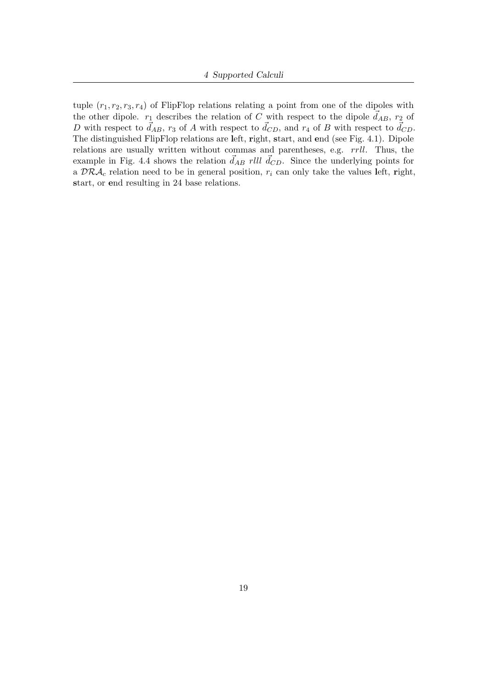tuple  $(r_1, r_2, r_3, r_4)$  of FlipFlop relations relating a point from one of the dipoles with the other dipole.  $r_1$  describes the relation of C with respect to the dipole  $\vec{d}_{AB}$ ,  $r_2$  of D with respect to  $\vec{d}_{AB}$ ,  $r_3$  of A with respect to  $\vec{d}_{CD}$ , and  $r_4$  of B with respect to  $\vec{d}_{CD}$ . The distinguished FlipFlop relations are left, right, start, and end (see Fig. 4.1). Dipole relations are usually written without commas and parentheses, e.g. rrll. Thus, the example in Fig. 4.4 shows the relation  $\vec{d}_{AB}$  rlll  $\vec{d}_{CD}$ . Since the underlying points for a  $\mathcal{DRA}_c$  relation need to be in general position,  $r_i$  can only take the values left, right, start, or end resulting in 24 base relations.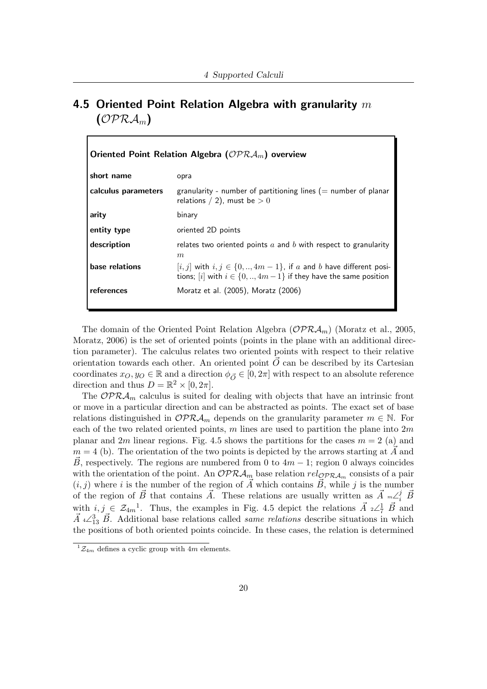## 4.5 Oriented Point Relation Algebra with granularity  $m$  $(\mathcal{OPRA}_{m})$

| Oriented Point Relation Algebra ( $\mathcal{OPRA}_m$ ) overview |                                                                                                                                                    |  |  |  |
|-----------------------------------------------------------------|----------------------------------------------------------------------------------------------------------------------------------------------------|--|--|--|
| short name                                                      | opra                                                                                                                                               |  |  |  |
| calculus parameters                                             | granularity - number of partitioning lines ( $=$ number of planar<br>relations / 2), must be $> 0$                                                 |  |  |  |
| arity                                                           | binary                                                                                                                                             |  |  |  |
| entity type                                                     | oriented 2D points                                                                                                                                 |  |  |  |
| description                                                     | relates two oriented points $a$ and $b$ with respect to granularity<br>m                                                                           |  |  |  |
| base relations                                                  | $[i, j]$ with $i, j \in \{0, , 4m - 1\}$ , if a and b have different posi-<br>tions; [i] with $i \in \{0, , 4m-1\}$ if they have the same position |  |  |  |
| references                                                      | Moratz et al. (2005), Moratz (2006)                                                                                                                |  |  |  |

The domain of the Oriented Point Relation Algebra ( $\mathcal{OPRA}_m$ ) (Moratz et al., 2005, Moratz, 2006) is the set of oriented points (points in the plane with an additional direction parameter). The calculus relates two oriented points with respect to their relative orientation towards each other. An oriented point  $\overrightarrow{O}$  can be described by its Cartesian coordinates  $x_O, y_O \in \mathbb{R}$  and a direction  $\phi_{\vec{O}} \in [0, 2\pi]$  with respect to an absolute reference direction and thus  $D = \mathbb{R}^2 \times [0, 2\pi]$ .

The  $\mathcal{OPRA}_m$  calculus is suited for dealing with objects that have an intrinsic front or move in a particular direction and can be abstracted as points. The exact set of base relations distinguished in  $\mathcal{OPRA}_m$  depends on the granularity parameter  $m \in \mathbb{N}$ . For each of the two related oriented points,  $m$  lines are used to partition the plane into  $2m$ planar and 2m linear regions. Fig. 4.5 shows the partitions for the cases  $m = 2$  (a) and  $m = 4$  (b). The orientation of the two points is depicted by the arrows starting at A and B, respectively. The regions are numbered from 0 to  $4m - 1$ ; region 0 always coincides with the orientation of the point. An  $\mathcal{OPRA}_m$  base relation  $rel_{\mathcal{OPRA}_m}$  consists of a pair  $(i, j)$  where i is the number of the region of A which contains B, while j is the number of the region of  $\vec{B}~$  that contains  $\vec{A}$ . These relations are usually written as  $\vec{A}~_{m}\angle_{i}^{j}~\vec{B}$ with  $i, j \in \mathcal{Z}_{4m}$ <sup>1</sup>. Thus, the examples in Fig. 4.5 depict the relations  $\vec{A}$   $\underset{2}{\leq} \frac{1}{7}$   $\vec{B}$  and  $\vec{A}$   $\sim$  4∠ $^{3}_{13}$   $\vec{B}$ . Additional base relations called *same relations* describe situations in which the positions of both oriented points coincide. In these cases, the relation is determined

 $1_{\mathcal{Z}_{4m}}$  defines a cyclic group with  $4m$  elements.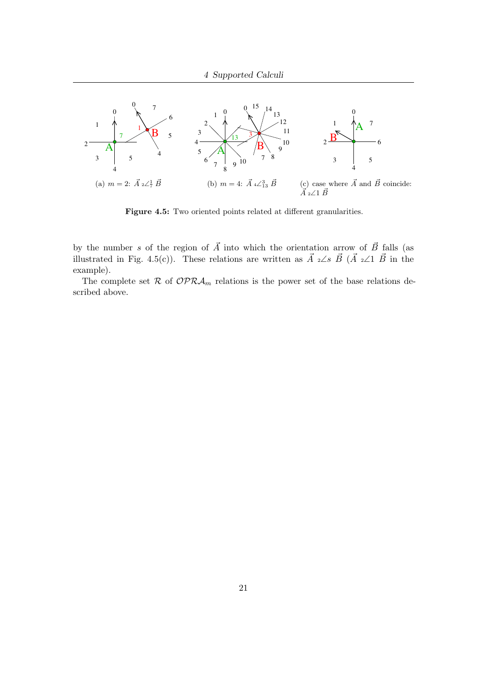

Figure 4.5: Two oriented points related at different granularities.

by the number s of the region of  $\vec{A}$  into which the orientation arrow of  $\vec{B}$  falls (as illustrated in Fig. 4.5(c)). These relations are written as  $\vec{A}$   $\geq \leq s$   $\vec{B}$  ( $\vec{A}$   $\geq \leq 1$   $\vec{B}$  in the example).

The complete set R of  $\mathcal{OPRA}_m$  relations is the power set of the base relations described above.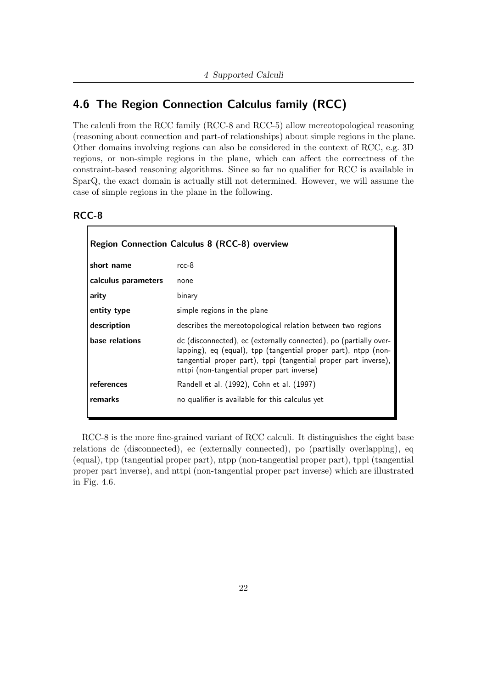## 4.6 The Region Connection Calculus family (RCC)

The calculi from the RCC family (RCC-8 and RCC-5) allow mereotopological reasoning (reasoning about connection and part-of relationships) about simple regions in the plane. Other domains involving regions can also be considered in the context of RCC, e.g. 3D regions, or non-simple regions in the plane, which can affect the correctness of the constraint-based reasoning algorithms. Since so far no qualifier for RCC is available in SparQ, the exact domain is actually still not determined. However, we will assume the case of simple regions in the plane in the following.

#### RCC-8

| <b>Region Connection Calculus 8 (RCC-8) overview</b> |                                                                                                                                                                                                                                                      |  |  |  |
|------------------------------------------------------|------------------------------------------------------------------------------------------------------------------------------------------------------------------------------------------------------------------------------------------------------|--|--|--|
| short name                                           | $rcc-8$                                                                                                                                                                                                                                              |  |  |  |
| calculus parameters                                  | none                                                                                                                                                                                                                                                 |  |  |  |
| arity                                                | binary                                                                                                                                                                                                                                               |  |  |  |
| entity type                                          | simple regions in the plane                                                                                                                                                                                                                          |  |  |  |
| description                                          | describes the mereotopological relation between two regions                                                                                                                                                                                          |  |  |  |
| base relations                                       | dc (disconnected), ec (externally connected), po (partially over-<br>lapping), eq (equal), tpp (tangential proper part), ntpp (non-<br>tangential proper part), tppi (tangential proper part inverse),<br>nttpi (non-tangential proper part inverse) |  |  |  |
| references                                           | Randell et al. (1992), Cohn et al. (1997)                                                                                                                                                                                                            |  |  |  |
| remarks                                              | no qualifier is available for this calculus yet                                                                                                                                                                                                      |  |  |  |

RCC-8 is the more fine-grained variant of RCC calculi. It distinguishes the eight base relations dc (disconnected), ec (externally connected), po (partially overlapping), eq (equal), tpp (tangential proper part), ntpp (non-tangential proper part), tppi (tangential proper part inverse), and nttpi (non-tangential proper part inverse) which are illustrated in Fig. 4.6.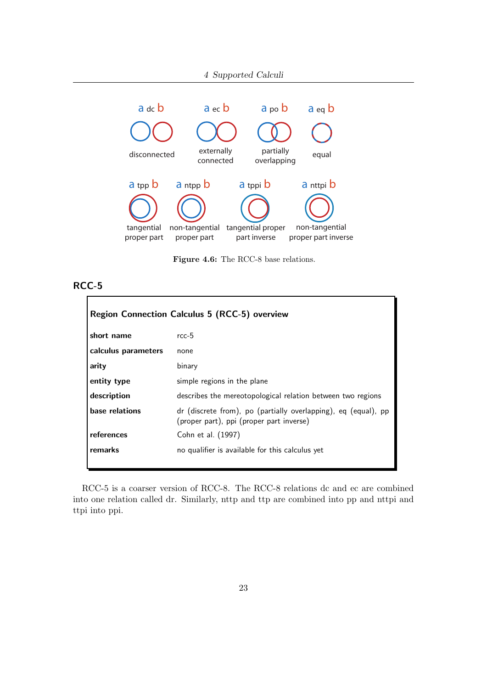

Figure 4.6: The RCC-8 base relations.

#### RCC-5

| <b>Region Connection Calculus 5 (RCC-5) overview</b> |                                                                                                            |  |  |  |
|------------------------------------------------------|------------------------------------------------------------------------------------------------------------|--|--|--|
| short name                                           | $rcc-5$                                                                                                    |  |  |  |
| calculus parameters                                  | none                                                                                                       |  |  |  |
| arity                                                | binary                                                                                                     |  |  |  |
| entity type                                          | simple regions in the plane                                                                                |  |  |  |
| description                                          | describes the mereotopological relation between two regions                                                |  |  |  |
| base relations                                       | dr (discrete from), po (partially overlapping), eq (equal), pp<br>(proper part), ppi (proper part inverse) |  |  |  |
| references                                           | Cohn et al. (1997)                                                                                         |  |  |  |
| remarks                                              | no qualifier is available for this calculus yet                                                            |  |  |  |

RCC-5 is a coarser version of RCC-8. The RCC-8 relations dc and ec are combined into one relation called dr. Similarly, nttp and ttp are combined into pp and nttpi and ttpi into ppi.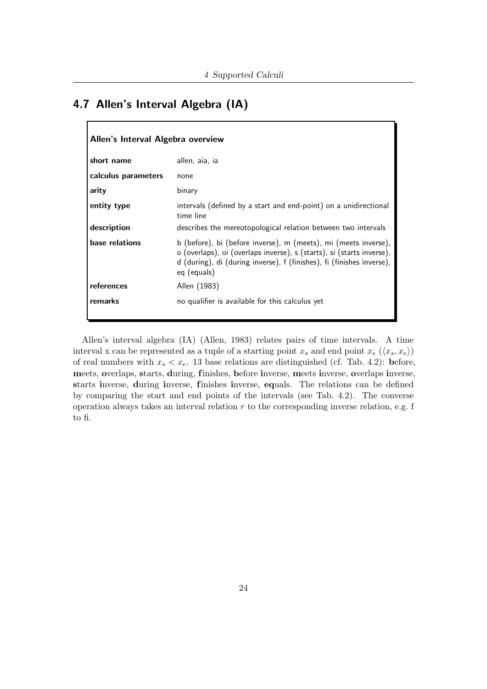## 4.7 Allen's Interval Algebra (IA)

| Allen's Interval Algebra overview                                                            |                                                                                                                                                                                                                                  |  |  |
|----------------------------------------------------------------------------------------------|----------------------------------------------------------------------------------------------------------------------------------------------------------------------------------------------------------------------------------|--|--|
| short name                                                                                   | allen, aia, ia                                                                                                                                                                                                                   |  |  |
| calculus parameters                                                                          | none                                                                                                                                                                                                                             |  |  |
| arity                                                                                        | binary                                                                                                                                                                                                                           |  |  |
| intervals (defined by a start and end-point) on a unidirectional<br>entity type<br>time line |                                                                                                                                                                                                                                  |  |  |
| description                                                                                  | describes the mereotopological relation between two intervals                                                                                                                                                                    |  |  |
| base relations                                                                               | b (before), bi (before inverse), m (meets), mi (meets inverse),<br>o (overlaps), oi (overlaps inverse), s (starts), si (starts inverse),<br>d (during), di (during inverse), f (finishes), fi (finishes inverse),<br>eq (equals) |  |  |
| references                                                                                   | Allen (1983)                                                                                                                                                                                                                     |  |  |
| remarks                                                                                      | no qualifier is available for this calculus yet                                                                                                                                                                                  |  |  |

Allen's interval algebra (IA) (Allen, 1983) relates pairs of time intervals. A time interval x can be represented as a tuple of a starting point  $x_s$  and end point  $x_e$   $(\langle x_s, x_e \rangle)$ of real numbers with  $x_s < x_e$ . 13 base relations are distinguished (cf. Tab. 4.2): before, meets, overlaps, starts, during, finishes, before inverse, meets inverse, overlaps inverse, starts inverse, during inverse, finishes inverse, equals. The relations can be defined by comparing the start and end points of the intervals (see Tab. 4.2). The converse operation always takes an interval relation  $r$  to the corresponding inverse relation, e.g.  $f$ to fi.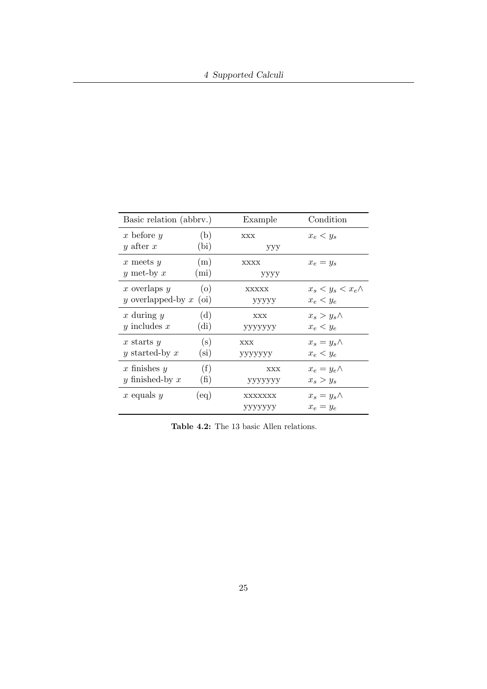| Basic relation (abbry.)  |                             | Example                   | Condition                         |
|--------------------------|-----------------------------|---------------------------|-----------------------------------|
| x before $y$             | (b)                         | <b>XXX</b>                | $x_e < y_s$                       |
| y after $x$              | (bi)                        | <i>yyy</i>                |                                   |
| x meets $y$              | (m)                         | <b>XXXX</b>               | $x_e = y_s$                       |
| y met-by $x$             | (m <sub>i</sub> )           | уууу                      |                                   |
| x overlaps $y$           | (o)                         | XXXXX                     | $x_s < y_s < x_e \wedge$          |
| y overlapped-by $x$ (oi) |                             | ууууу                     | $x_e < y_e$                       |
| x during $y$             | (d)                         | <b>XXX</b>                | $x_s > y_s \wedge$                |
| y includes $x$           | $\left(\mathrm{d}i\right)$  | ууууууу                   | $x_e < y_e$                       |
| x starts $y$             | (s)                         | <b>XXX</b>                | $x_s = y_s \wedge$                |
| y started-by $x$         | $\left( \mathrm{si}\right)$ | ууууууу                   | $x_e < y_e$                       |
| x finishes $y$           | (f)                         | <b>XXX</b>                | $x_e = y_e \wedge$                |
| y finished-by $x$        | $(f_i)$                     | ууууууу                   | $x_s > y_s$                       |
| x equals $y$             | $\left(\mathrm{eq}\right)$  | XXXXXXX<br><b>YYYYYYY</b> | $x_s = y_s \wedge$<br>$x_e = y_e$ |

Table 4.2: The 13 basic Allen relations.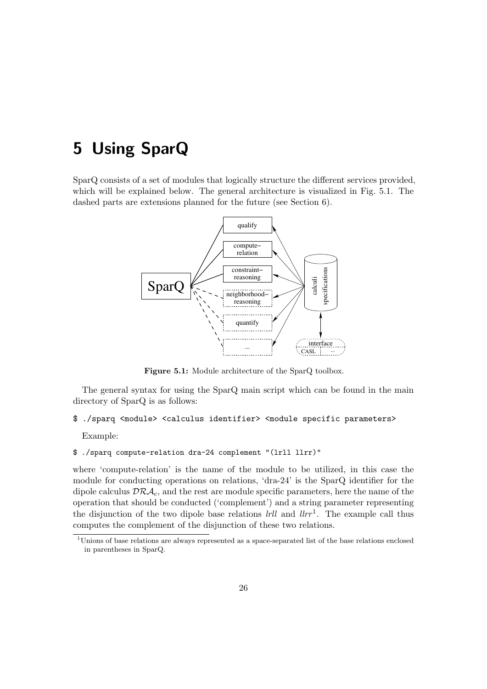# 5 Using SparQ

SparQ consists of a set of modules that logically structure the different services provided, which will be explained below. The general architecture is visualized in Fig. 5.1. The dashed parts are extensions planned for the future (see Section 6).



Figure 5.1: Module architecture of the SparQ toolbox.

The general syntax for using the SparQ main script which can be found in the main directory of SparQ is as follows:

#### \$ ./sparq <module> <calculus identifier> <module specific parameters>

Example:

\$ ./sparq compute-relation dra-24 complement "(lrll llrr)"

where 'compute-relation' is the name of the module to be utilized, in this case the module for conducting operations on relations, 'dra-24' is the SparQ identifier for the dipole calculus  $\mathcal{DRA}_c$ , and the rest are module specific parameters, here the name of the operation that should be conducted ('complement') and a string parameter representing the disjunction of the two dipole base relations  $\ell$ rll and  $\ell l$ r<sup>1</sup>. The example call thus computes the complement of the disjunction of these two relations.

 $1$ Unions of base relations are always represented as a space-separated list of the base relations enclosed in parentheses in SparQ.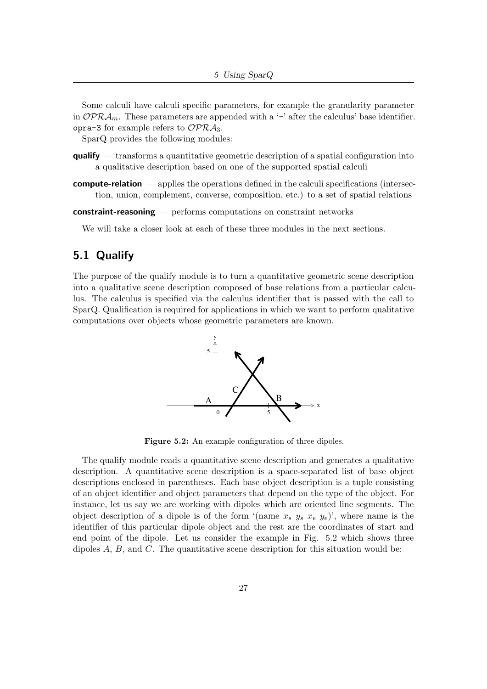Some calculi have calculi specific parameters, for example the granularity parameter in  $\mathcal{OPRA}_m$ . These parameters are appended with a '-' after the calculus' base identifier. opra-3 for example refers to  $OPRA_3$ .

SparQ provides the following modules:

- qualify  $-$  transforms a quantitative geometric description of a spatial configuration into a qualitative description based on one of the supported spatial calculi
- **compute-relation** applies the operations defined in the calculi specifications (intersection, union, complement, converse, composition, etc.) to a set of spatial relations

constraint-reasoning — performs computations on constraint networks

We will take a closer look at each of these three modules in the next sections.

## 5.1 Qualify

The purpose of the qualify module is to turn a quantitative geometric scene description into a qualitative scene description composed of base relations from a particular calculus. The calculus is specified via the calculus identifier that is passed with the call to SparQ. Qualification is required for applications in which we want to perform qualitative computations over objects whose geometric parameters are known.



Figure 5.2: An example configuration of three dipoles.

The qualify module reads a quantitative scene description and generates a qualitative description. A quantitative scene description is a space-separated list of base object descriptions enclosed in parentheses. Each base object description is a tuple consisting of an object identifier and object parameters that depend on the type of the object. For instance, let us say we are working with dipoles which are oriented line segments. The object description of a dipole is of the form '(name  $x_s$   $y_s$   $x_e$   $y_e$ )', where name is the identifier of this particular dipole object and the rest are the coordinates of start and end point of the dipole. Let us consider the example in Fig. 5.2 which shows three dipoles  $A, B$ , and  $C$ . The quantitative scene description for this situation would be: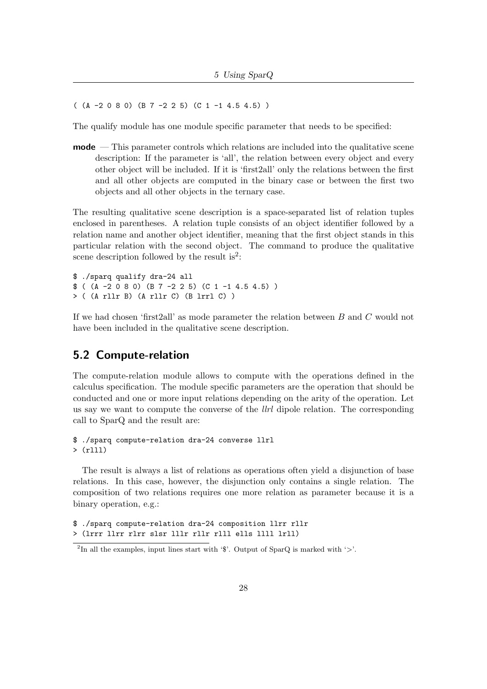$(A - 2 0 8 0) (B 7 - 2 2 5) (C 1 - 1 4.5 4.5)$ 

The qualify module has one module specific parameter that needs to be specified:

 $\mathbf{mode}$  — This parameter controls which relations are included into the qualitative scene description: If the parameter is 'all', the relation between every object and every other object will be included. If it is 'first2all' only the relations between the first and all other objects are computed in the binary case or between the first two objects and all other objects in the ternary case.

The resulting qualitative scene description is a space-separated list of relation tuples enclosed in parentheses. A relation tuple consists of an object identifier followed by a relation name and another object identifier, meaning that the first object stands in this particular relation with the second object. The command to produce the qualitative scene description followed by the result is<sup>2</sup>:

```
$ ./sparq qualify dra-24 all
$ (A -2 0 8 0) (B 7 -2 2 5) (C 1 -1 4.5 4.5) )> ( (A rllr B) (A rllr C) (B lrrl C) )
```
If we had chosen 'first2all' as mode parameter the relation between B and C would not have been included in the qualitative scene description.

## 5.2 Compute-relation

The compute-relation module allows to compute with the operations defined in the calculus specification. The module specific parameters are the operation that should be conducted and one or more input relations depending on the arity of the operation. Let us say we want to compute the converse of the *llrl* dipole relation. The corresponding call to SparQ and the result are:

```
$ ./sparq compute-relation dra-24 converse llrl
> (rlll)
```
The result is always a list of relations as operations often yield a disjunction of base relations. In this case, however, the disjunction only contains a single relation. The composition of two relations requires one more relation as parameter because it is a binary operation, e.g.:

```
$ ./sparq compute-relation dra-24 composition llrr rllr
> (lrrr llrr rlrr slsr lllr rllr rlll ells llll lrll)
```
<sup>&</sup>lt;sup>2</sup>In all the examples, input lines start with '\$'. Output of SparQ is marked with '>'.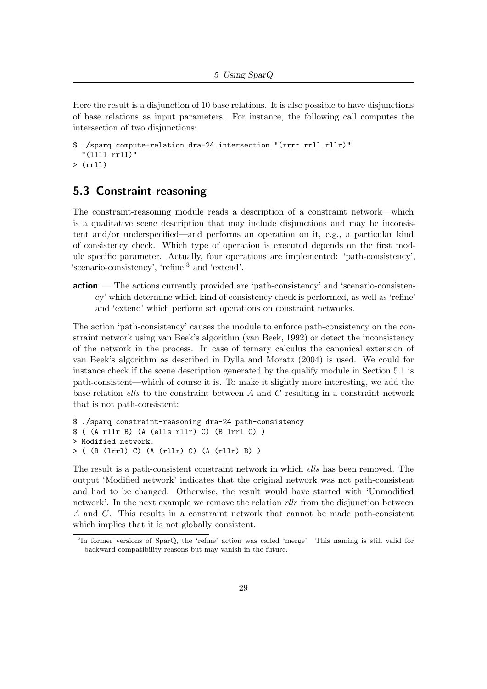Here the result is a disjunction of 10 base relations. It is also possible to have disjunctions of base relations as input parameters. For instance, the following call computes the intersection of two disjunctions:

```
$ ./sparq compute-relation dra-24 intersection "(rrrr rrll rllr)"
  "(llll rrll)"
> (rrll)
```
## 5.3 Constraint-reasoning

The constraint-reasoning module reads a description of a constraint network—which is a qualitative scene description that may include disjunctions and may be inconsistent and/or underspecified—and performs an operation on it, e.g., a particular kind of consistency check. Which type of operation is executed depends on the first module specific parameter. Actually, four operations are implemented: 'path-consistency', 'scenario-consistency', 'refine'<sup>3</sup> and 'extend'.

 $\alpha$  action — The actions currently provided are 'path-consistency' and 'scenario-consistency' which determine which kind of consistency check is performed, as well as 'refine' and 'extend' which perform set operations on constraint networks.

The action 'path-consistency' causes the module to enforce path-consistency on the constraint network using van Beek's algorithm (van Beek, 1992) or detect the inconsistency of the network in the process. In case of ternary calculus the canonical extension of van Beek's algorithm as described in Dylla and Moratz (2004) is used. We could for instance check if the scene description generated by the qualify module in Section 5.1 is path-consistent—which of course it is. To make it slightly more interesting, we add the base relation ells to the constraint between A and C resulting in a constraint network that is not path-consistent:

```
$ ./sparq constraint-reasoning dra-24 path-consistency
$ ( (A rllr B) (A (ells rllr) C) (B lrrl C) )
> Modified network.
> ( (B (lrrl) C) (A (rllr) C) (A (rllr) B) )
```
The result is a path-consistent constraint network in which ells has been removed. The output 'Modified network' indicates that the original network was not path-consistent and had to be changed. Otherwise, the result would have started with 'Unmodified network'. In the next example we remove the relation *rllr* from the disjunction between A and C. This results in a constraint network that cannot be made path-consistent which implies that it is not globally consistent.

<sup>3</sup> In former versions of SparQ, the 'refine' action was called 'merge'. This naming is still valid for backward compatibility reasons but may vanish in the future.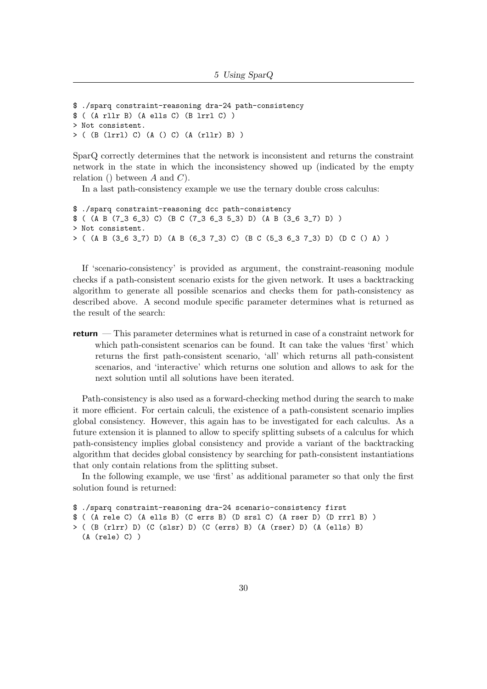```
$ ./sparq constraint-reasoning dra-24 path-consistency
$ ( (A rllr B) (A ells C) (B lrrl C) )
> Not consistent.
> ( (B (lrrl) C) (A () C) (A (rllr) B) )
```
SparQ correctly determines that the network is inconsistent and returns the constraint network in the state in which the inconsistency showed up (indicated by the empty relation () between  $A$  and  $C$ ).

In a last path-consistency example we use the ternary double cross calculus:

```
$ ./sparq constraint-reasoning dcc path-consistency
$ ( (A B (7_3 6_3) C) (B C (7_3 6_3 5_3) D) (A B (3_6 3_7) D) )
> Not consistent.
> ( (A B (3_6 3_7) D) (A B (6_3 7_3) C) (B C (5_3 6_3 7_3) D) (D C () A) )
```
If 'scenario-consistency' is provided as argument, the constraint-reasoning module checks if a path-consistent scenario exists for the given network. It uses a backtracking algorithm to generate all possible scenarios and checks them for path-consistency as described above. A second module specific parameter determines what is returned as the result of the search:

return — This parameter determines what is returned in case of a constraint network for which path-consistent scenarios can be found. It can take the values 'first' which returns the first path-consistent scenario, 'all' which returns all path-consistent scenarios, and 'interactive' which returns one solution and allows to ask for the next solution until all solutions have been iterated.

Path-consistency is also used as a forward-checking method during the search to make it more efficient. For certain calculi, the existence of a path-consistent scenario implies global consistency. However, this again has to be investigated for each calculus. As a future extension it is planned to allow to specify splitting subsets of a calculus for which path-consistency implies global consistency and provide a variant of the backtracking algorithm that decides global consistency by searching for path-consistent instantiations that only contain relations from the splitting subset.

In the following example, we use 'first' as additional parameter so that only the first solution found is returned:

```
$ ./sparq constraint-reasoning dra-24 scenario-consistency first
$ ( (A rele C) (A ells B) (C errs B) (D srsl C) (A rser D) (D rrrl B) )
> ( (B (rlrr) D) (C (slsr) D) (C (errs) B) (A (rser) D) (A (ells) B)
  (A (rele) C) )
```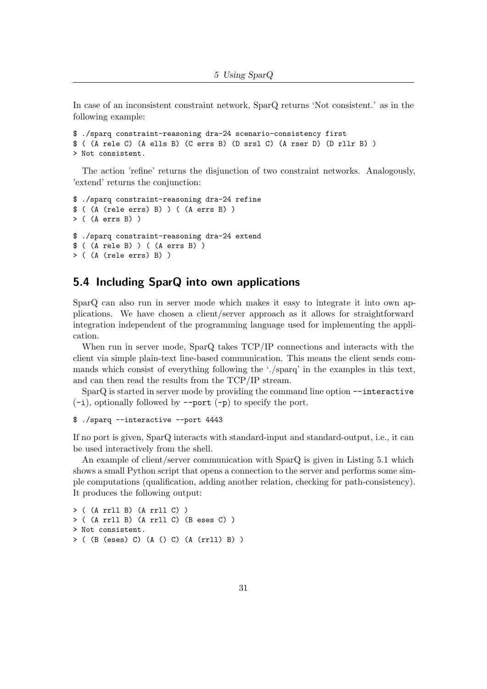In case of an inconsistent constraint network, SparQ returns 'Not consistent.' as in the following example:

```
$ ./sparq constraint-reasoning dra-24 scenario-consistency first
$ ( (A rele C) (A ells B) (C errs B) (D srsl C) (A rser D) (D rllr B) )
> Not consistent.
```
The action 'refine' returns the disjunction of two constraint networks. Analogously, 'extend' returns the conjunction:

```
$ ./sparq constraint-reasoning dra-24 refine
$ ( (A (rele errs) B) ) ( (A errs B) )
> ( (A errs B) )
$ ./sparq constraint-reasoning dra-24 extend
$ ( (A rele B) ) ( (A errs B) )
> ( (A (rele errs) B) )
```
## 5.4 Including SparQ into own applications

SparQ can also run in server mode which makes it easy to integrate it into own applications. We have chosen a client/server approach as it allows for straightforward integration independent of the programming language used for implementing the application.

When run in server mode, SparQ takes TCP/IP connections and interacts with the client via simple plain-text line-based communication. This means the client sends commands which consist of everything following the './sparq' in the examples in this text, and can then read the results from the TCP/IP stream.

SparQ is started in server mode by providing the command line option --interactive  $(-i)$ , optionally followed by  $-\text{port }(-p)$  to specify the port.

```
$ ./sparq --interactive --port 4443
```
If no port is given, SparQ interacts with standard-input and standard-output, i.e., it can be used interactively from the shell.

An example of client/server communication with SparQ is given in Listing 5.1 which shows a small Python script that opens a connection to the server and performs some simple computations (qualification, adding another relation, checking for path-consistency). It produces the following output:

```
> ( (A rrll B) (A rrll C) )
> ( (A rrll B) (A rrll C) (B eses C) )
> Not consistent.
> ( (B (eses) C) (A () C) (A (rrll) B) )
```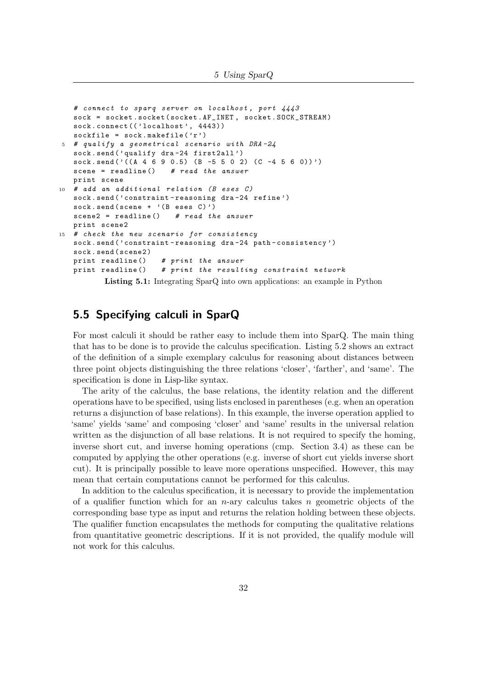```
# connect to sparq server on localhost, port 4443sock = socket . socket ( socket . AF_INET , socket . SOCK_STREAM )
   sock.connect(('localhost', 4443))
   sockfile = sock.makefile('r')5 # qualify a geometrical scenario with DRA -24
   sock.send ('qualify dra-24 first2all')
   sock.send (' ((A 4 6 9 0.5) (B -5 5 0 2) (C -4 5 6 0))')
   scene = readline() # read the answer
   print scene
10 # add an additional relation (B eses C)
   sock.send ('constraint-reasoning dra-24 refine')
   sock.send(scence + ' (B eses C)')screen 2 = readline() # read the answer
   print scene2
15 # check the new scenario for consistency
   sock.send ('constraint-reasoning dra-24 path-consistency')
   sock . send ( scene2 )
   print readline () # print the answer
   print readline () # print the resulting constraint network
          Listing 5.1: Integrating SparQ into own applications: an example in Python
```
## 5.5 Specifying calculi in SparQ

For most calculi it should be rather easy to include them into SparQ. The main thing that has to be done is to provide the calculus specification. Listing 5.2 shows an extract of the definition of a simple exemplary calculus for reasoning about distances between three point objects distinguishing the three relations 'closer', 'farther', and 'same'. The specification is done in Lisp-like syntax.

The arity of the calculus, the base relations, the identity relation and the different operations have to be specified, using lists enclosed in parentheses (e.g. when an operation returns a disjunction of base relations). In this example, the inverse operation applied to 'same' yields 'same' and composing 'closer' and 'same' results in the universal relation written as the disjunction of all base relations. It is not required to specify the homing, inverse short cut, and inverse homing operations (cmp. Section 3.4) as these can be computed by applying the other operations (e.g. inverse of short cut yields inverse short cut). It is principally possible to leave more operations unspecified. However, this may mean that certain computations cannot be performed for this calculus.

In addition to the calculus specification, it is necessary to provide the implementation of a qualifier function which for an *n*-ary calculus takes *n* geometric objects of the corresponding base type as input and returns the relation holding between these objects. The qualifier function encapsulates the methods for computing the qualitative relations from quantitative geometric descriptions. If it is not provided, the qualify module will not work for this calculus.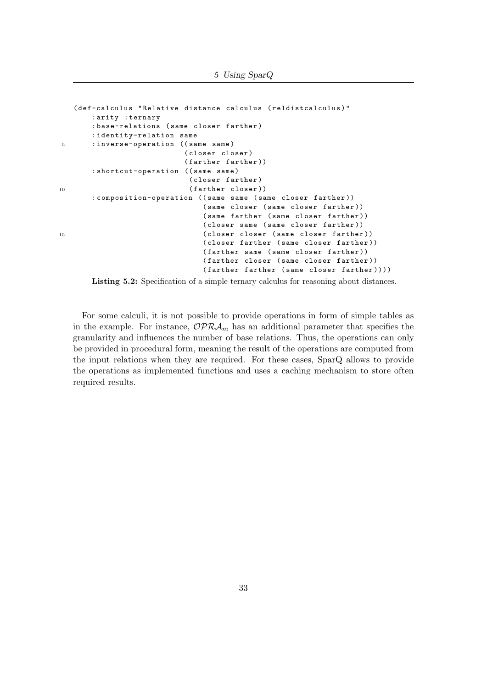```
( def-calculus " Relative distance calculus ( reldistcalculus ) "
      : arity : ternary
       : base-relations ( same closer farther )
       : identity-relation same
5 : inverse-operation ((same same)
                           ( closer closer )
                           ( farther farther ))
       : shortcut-operation (( same same )
                            ( closer farther )
10 (farther closer))
       : composition-operation (( same same ( same closer farther ))
                               (same closer (same closer farther))
                               (same farther (same closer farther))
                               ( closer same ( same closer farther ))
15 ( closer closer ( same closer farther ))
                               ( closer farther ( same closer farther ))
                               (farther same (same closer farther))
                               (farther closer (same closer farther))
                               (farther farther (same closer farther))))
```
Listing 5.2: Specification of a simple ternary calculus for reasoning about distances.

For some calculi, it is not possible to provide operations in form of simple tables as in the example. For instance,  $\mathcal{OPRA}_m$  has an additional parameter that specifies the granularity and influences the number of base relations. Thus, the operations can only be provided in procedural form, meaning the result of the operations are computed from the input relations when they are required. For these cases, SparQ allows to provide the operations as implemented functions and uses a caching mechanism to store often required results.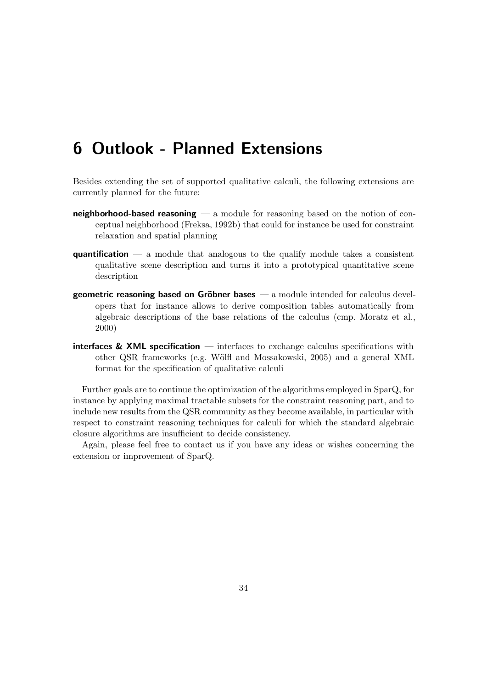## 6 Outlook - Planned Extensions

Besides extending the set of supported qualitative calculi, the following extensions are currently planned for the future:

- neighborhood-based reasoning  $-$  a module for reasoning based on the notion of conceptual neighborhood (Freksa, 1992b) that could for instance be used for constraint relaxation and spatial planning
- **quantification** a module that analogous to the qualify module takes a consistent qualitative scene description and turns it into a prototypical quantitative scene description
- **geometric reasoning based on Gröbner bases** a module intended for calculus developers that for instance allows to derive composition tables automatically from algebraic descriptions of the base relations of the calculus (cmp. Moratz et al., 2000)
- **interfaces & XML specification** interfaces to exchange calculus specifications with other QSR frameworks (e.g. Wölfl and Mossakowski,  $2005$ ) and a general XML format for the specification of qualitative calculi

Further goals are to continue the optimization of the algorithms employed in SparQ, for instance by applying maximal tractable subsets for the constraint reasoning part, and to include new results from the QSR community as they become available, in particular with respect to constraint reasoning techniques for calculi for which the standard algebraic closure algorithms are insufficient to decide consistency.

Again, please feel free to contact us if you have any ideas or wishes concerning the extension or improvement of SparQ.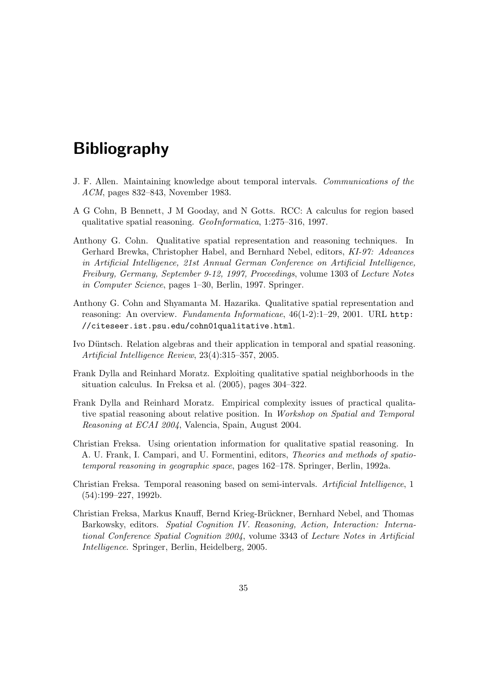## Bibliography

- J. F. Allen. Maintaining knowledge about temporal intervals. Communications of the ACM, pages 832–843, November 1983.
- A G Cohn, B Bennett, J M Gooday, and N Gotts. RCC: A calculus for region based qualitative spatial reasoning. GeoInformatica, 1:275–316, 1997.
- Anthony G. Cohn. Qualitative spatial representation and reasoning techniques. In Gerhard Brewka, Christopher Habel, and Bernhard Nebel, editors, KI-97: Advances in Artificial Intelligence, 21st Annual German Conference on Artificial Intelligence, Freiburg, Germany, September 9-12, 1997, Proceedings, volume 1303 of Lecture Notes in Computer Science, pages 1–30, Berlin, 1997. Springer.
- Anthony G. Cohn and Shyamanta M. Hazarika. Qualitative spatial representation and reasoning: An overview. Fundamenta Informaticae,  $46(1-2)$ :1-29, 2001. URL http: //citeseer.ist.psu.edu/cohn01qualitative.html.
- Ivo Düntsch. Relation algebras and their application in temporal and spatial reasoning. Artificial Intelligence Review, 23(4):315–357, 2005.
- Frank Dylla and Reinhard Moratz. Exploiting qualitative spatial neighborhoods in the situation calculus. In Freksa et al. (2005), pages 304–322.
- Frank Dylla and Reinhard Moratz. Empirical complexity issues of practical qualitative spatial reasoning about relative position. In Workshop on Spatial and Temporal Reasoning at ECAI 2004, Valencia, Spain, August 2004.
- Christian Freksa. Using orientation information for qualitative spatial reasoning. In A. U. Frank, I. Campari, and U. Formentini, editors, Theories and methods of spatiotemporal reasoning in geographic space, pages 162–178. Springer, Berlin, 1992a.
- Christian Freksa. Temporal reasoning based on semi-intervals. Artificial Intelligence, 1 (54):199–227, 1992b.
- Christian Freksa, Markus Knauff, Bernd Krieg-Brückner, Bernhard Nebel, and Thomas Barkowsky, editors. Spatial Cognition IV. Reasoning, Action, Interaction: International Conference Spatial Cognition 2004, volume 3343 of Lecture Notes in Artificial Intelligence. Springer, Berlin, Heidelberg, 2005.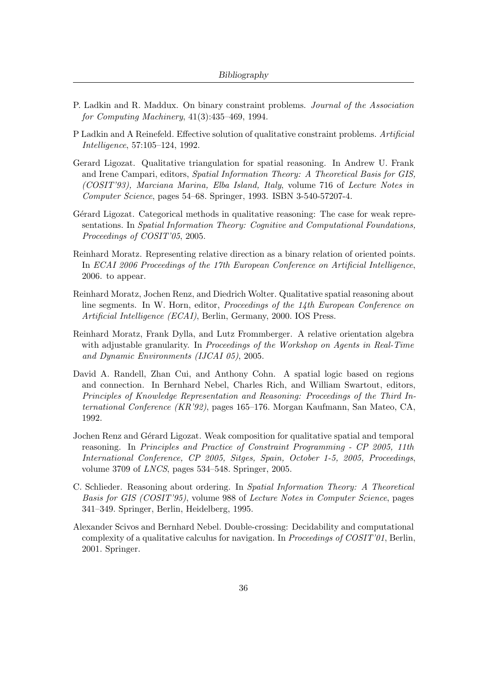- P. Ladkin and R. Maddux. On binary constraint problems. Journal of the Association for Computing Machinery, 41(3):435–469, 1994.
- P Ladkin and A Reinefeld. Effective solution of qualitative constraint problems. Artificial Intelligence, 57:105–124, 1992.
- Gerard Ligozat. Qualitative triangulation for spatial reasoning. In Andrew U. Frank and Irene Campari, editors, Spatial Information Theory: A Theoretical Basis for GIS, (COSIT'93), Marciana Marina, Elba Island, Italy, volume 716 of Lecture Notes in Computer Science, pages 54–68. Springer, 1993. ISBN 3-540-57207-4.
- Gérard Ligozat. Categorical methods in qualitative reasoning: The case for weak representations. In Spatial Information Theory: Cognitive and Computational Foundations, Proceedings of COSIT'05, 2005.
- Reinhard Moratz. Representing relative direction as a binary relation of oriented points. In ECAI 2006 Proceedings of the 17th European Conference on Artificial Intelligence, 2006. to appear.
- Reinhard Moratz, Jochen Renz, and Diedrich Wolter. Qualitative spatial reasoning about line segments. In W. Horn, editor, Proceedings of the 14th European Conference on Artificial Intelligence (ECAI), Berlin, Germany, 2000. IOS Press.
- Reinhard Moratz, Frank Dylla, and Lutz Frommberger. A relative orientation algebra with adjustable granularity. In *Proceedings of the Workshop on Agents in Real-Time* and Dynamic Environments (IJCAI 05), 2005.
- David A. Randell, Zhan Cui, and Anthony Cohn. A spatial logic based on regions and connection. In Bernhard Nebel, Charles Rich, and William Swartout, editors, Principles of Knowledge Representation and Reasoning: Proceedings of the Third International Conference (KR'92), pages 165–176. Morgan Kaufmann, San Mateo, CA, 1992.
- Jochen Renz and Gérard Ligozat. Weak composition for qualitative spatial and temporal reasoning. In Principles and Practice of Constraint Programming - CP 2005, 11th International Conference, CP 2005, Sitges, Spain, October 1-5, 2005, Proceedings, volume 3709 of LNCS, pages 534–548. Springer, 2005.
- C. Schlieder. Reasoning about ordering. In Spatial Information Theory: A Theoretical Basis for GIS (COSIT'95), volume 988 of Lecture Notes in Computer Science, pages 341–349. Springer, Berlin, Heidelberg, 1995.
- Alexander Scivos and Bernhard Nebel. Double-crossing: Decidability and computational complexity of a qualitative calculus for navigation. In Proceedings of COSIT'01, Berlin, 2001. Springer.